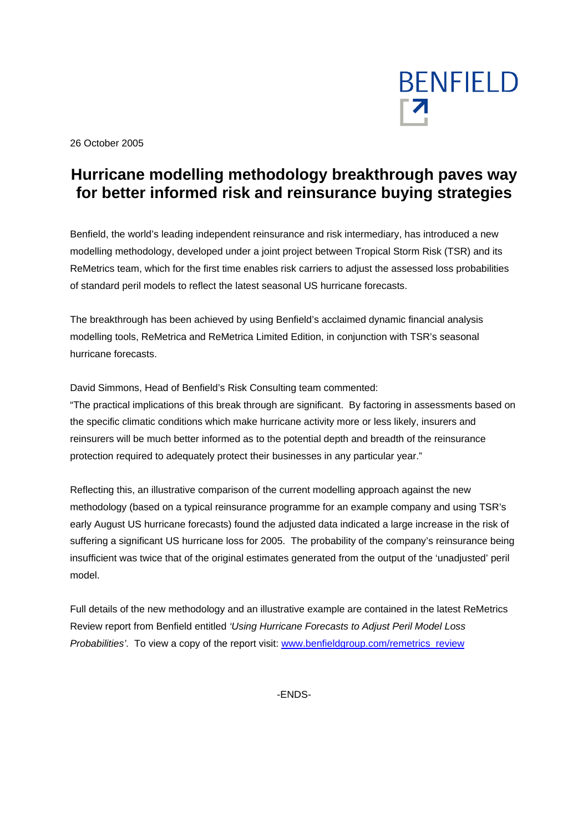

26 October 2005

# **Hurricane modelling methodology breakthrough paves way for better informed risk and reinsurance buying strategies**

Benfield, the world's leading independent reinsurance and risk intermediary, has introduced a new modelling methodology, developed under a joint project between Tropical Storm Risk (TSR) and its ReMetrics team, which for the first time enables risk carriers to adjust the assessed loss probabilities of standard peril models to reflect the latest seasonal US hurricane forecasts.

The breakthrough has been achieved by using Benfield's acclaimed dynamic financial analysis modelling tools, ReMetrica and ReMetrica Limited Edition, in conjunction with TSR's seasonal hurricane forecasts.

David Simmons, Head of Benfield's Risk Consulting team commented:

"The practical implications of this break through are significant. By factoring in assessments based on the specific climatic conditions which make hurricane activity more or less likely, insurers and reinsurers will be much better informed as to the potential depth and breadth of the reinsurance protection required to adequately protect their businesses in any particular year."

Reflecting this, an illustrative comparison of the current modelling approach against the new methodology (based on a typical reinsurance programme for an example company and using TSR's early August US hurricane forecasts) found the adjusted data indicated a large increase in the risk of suffering a significant US hurricane loss for 2005. The probability of the company's reinsurance being insufficient was twice that of the original estimates generated from the output of the 'unadjusted' peril model.

Full details of the new methodology and an illustrative example are contained in the latest ReMetrics Review report from Benfield entitled *'Using Hurricane Forecasts to Adjust Peril Model Loss Probabilities'*. To view a copy of the report visit: www.benfieldgroup.com/remetrics\_review

-ENDS-